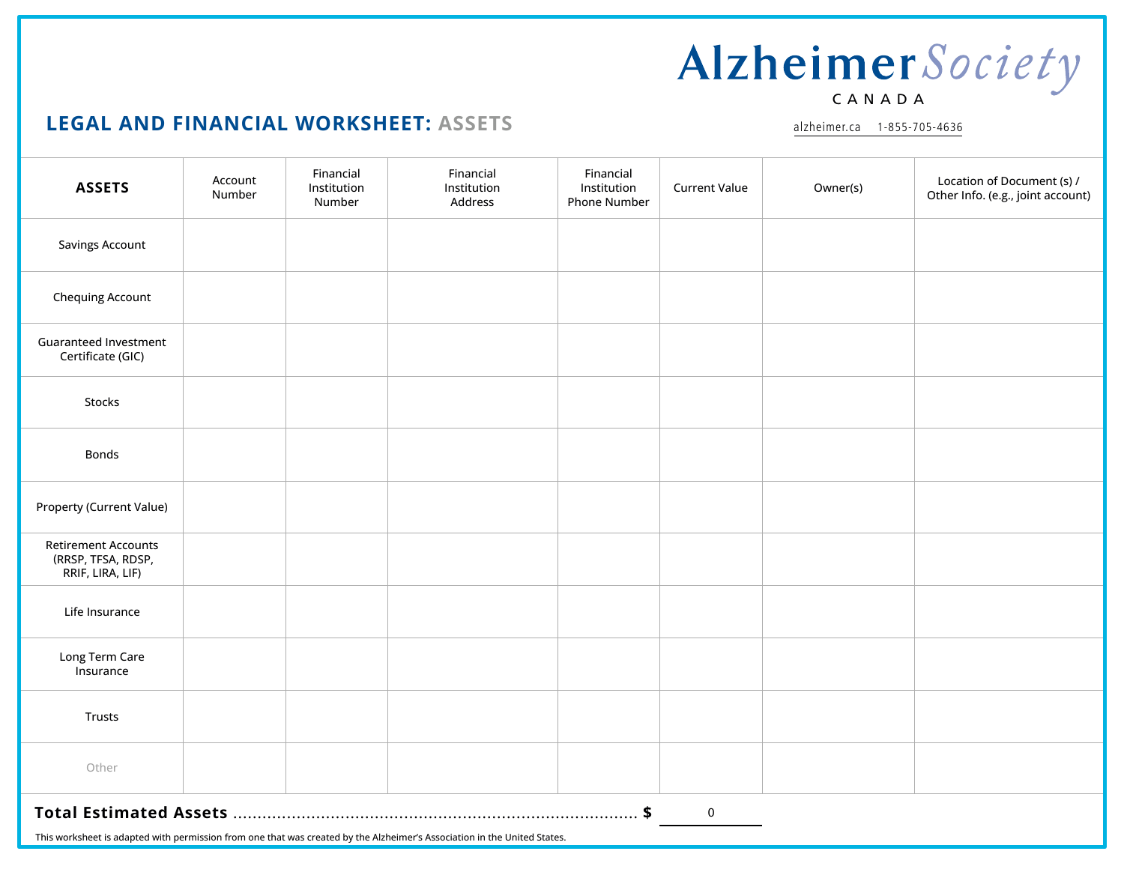#### **LEGAL AND FINANCIAL WORKSHEET: ASSETS**

| <b>ASSETS</b>                                                                                                            | Account<br>Number | Financial<br>Institution<br>Number | Financial<br>Institution<br>Address | Financial<br><b>Current Value</b><br>Institution<br>Phone Number | Owner(s) | Location of Document (s) /<br>Other Info. (e.g., joint account) |
|--------------------------------------------------------------------------------------------------------------------------|-------------------|------------------------------------|-------------------------------------|------------------------------------------------------------------|----------|-----------------------------------------------------------------|
| <b>Savings Account</b>                                                                                                   |                   |                                    |                                     |                                                                  |          |                                                                 |
| <b>Chequing Account</b>                                                                                                  |                   |                                    |                                     |                                                                  |          |                                                                 |
| <b>Guaranteed Investment</b><br>Certificate (GIC)                                                                        |                   |                                    |                                     |                                                                  |          |                                                                 |
| Stocks                                                                                                                   |                   |                                    |                                     |                                                                  |          |                                                                 |
| Bonds                                                                                                                    |                   |                                    |                                     |                                                                  |          |                                                                 |
| Property (Current Value)                                                                                                 |                   |                                    |                                     |                                                                  |          |                                                                 |
| <b>Retirement Accounts</b><br>(RRSP, TFSA, RDSP,<br>RRIF, LIRA, LIF)                                                     |                   |                                    |                                     |                                                                  |          |                                                                 |
| Life Insurance                                                                                                           |                   |                                    |                                     |                                                                  |          |                                                                 |
| Long Term Care<br>Insurance                                                                                              |                   |                                    |                                     |                                                                  |          |                                                                 |
| Trusts                                                                                                                   |                   |                                    |                                     |                                                                  |          |                                                                 |
| Other                                                                                                                    |                   |                                    |                                     |                                                                  |          |                                                                 |
| $\boldsymbol{0}$                                                                                                         |                   |                                    |                                     |                                                                  |          |                                                                 |
| This worksheet is adapted with permission from one that was created by the Alzheimer's Association in the United States. |                   |                                    |                                     |                                                                  |          |                                                                 |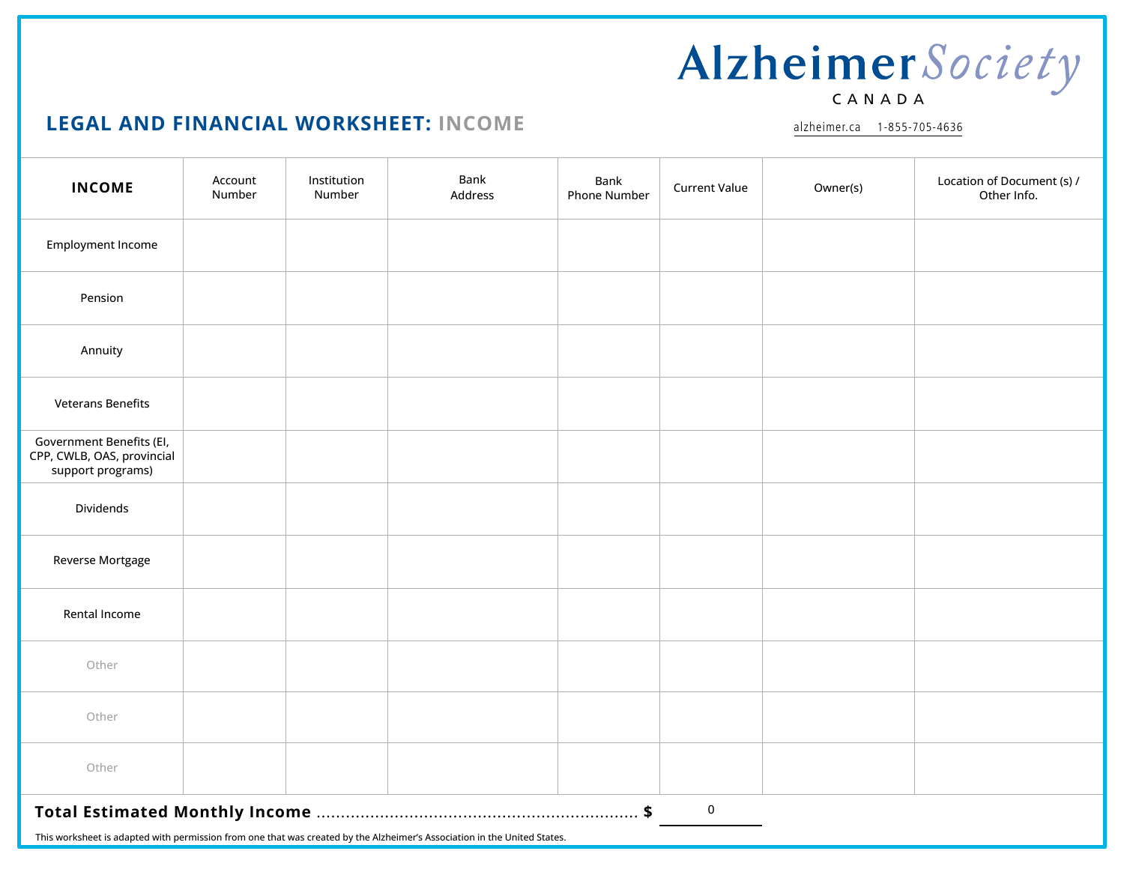#### **LEGAL AND FINANCIAL WORKSHEET: INCOME**

alzheimer.ca 1-855-705-4636

| <b>INCOME</b>                                                                                                                        | Account<br>Number | Institution<br>Number | Bank<br>Address | Bank<br><b>Phone Number</b> | <b>Current Value</b> | Owner(s) | Location of Document (s) /<br>Other Info. |
|--------------------------------------------------------------------------------------------------------------------------------------|-------------------|-----------------------|-----------------|-----------------------------|----------------------|----------|-------------------------------------------|
| <b>Employment Income</b>                                                                                                             |                   |                       |                 |                             |                      |          |                                           |
| Pension                                                                                                                              |                   |                       |                 |                             |                      |          |                                           |
| Annuity                                                                                                                              |                   |                       |                 |                             |                      |          |                                           |
| <b>Veterans Benefits</b>                                                                                                             |                   |                       |                 |                             |                      |          |                                           |
| Government Benefits (El,<br>CPP, CWLB, OAS, provincial<br>support programs)                                                          |                   |                       |                 |                             |                      |          |                                           |
| Dividends                                                                                                                            |                   |                       |                 |                             |                      |          |                                           |
| Reverse Mortgage                                                                                                                     |                   |                       |                 |                             |                      |          |                                           |
| Rental Income                                                                                                                        |                   |                       |                 |                             |                      |          |                                           |
| Other                                                                                                                                |                   |                       |                 |                             |                      |          |                                           |
| Other                                                                                                                                |                   |                       |                 |                             |                      |          |                                           |
| Other                                                                                                                                |                   |                       |                 |                             |                      |          |                                           |
| ${\bf 0}$<br>This workshoot is adapted with permission from ano that was created by the Alzhoimer's Association in the United States |                   |                       |                 |                             |                      |          |                                           |

This worksheet is adapted with permission from one that was created by the Alzheimer's Association in the United States.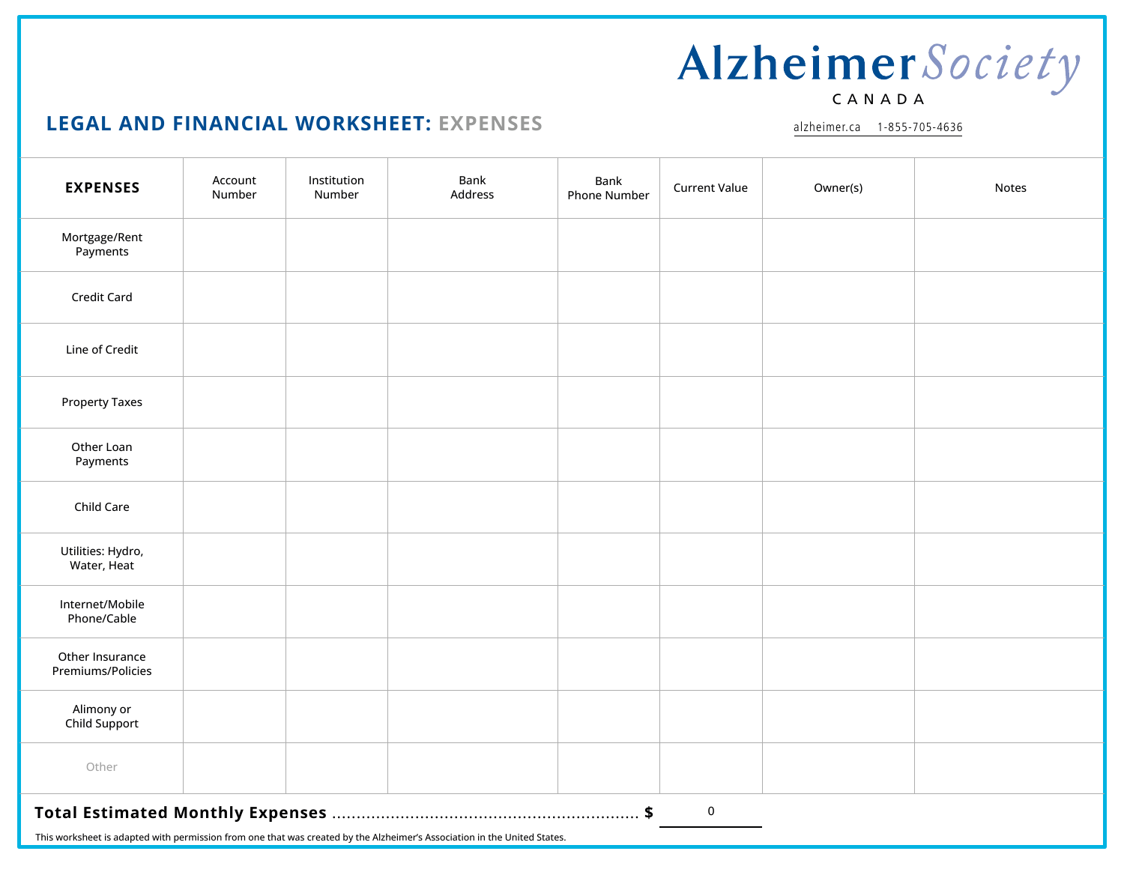#### **LEGAL AND FINANCIAL WORKSHEET: EXPENSES**

| <b>EXPENSES</b>                                                                                                          | Account<br>Number | Institution<br>Number | Bank<br>Address | Bank<br><b>Phone Number</b> | <b>Current Value</b> | Owner(s) | Notes |
|--------------------------------------------------------------------------------------------------------------------------|-------------------|-----------------------|-----------------|-----------------------------|----------------------|----------|-------|
| Mortgage/Rent<br>Payments                                                                                                |                   |                       |                 |                             |                      |          |       |
| Credit Card                                                                                                              |                   |                       |                 |                             |                      |          |       |
| Line of Credit                                                                                                           |                   |                       |                 |                             |                      |          |       |
| <b>Property Taxes</b>                                                                                                    |                   |                       |                 |                             |                      |          |       |
| Other Loan<br>Payments                                                                                                   |                   |                       |                 |                             |                      |          |       |
| Child Care                                                                                                               |                   |                       |                 |                             |                      |          |       |
| Utilities: Hydro,<br>Water, Heat                                                                                         |                   |                       |                 |                             |                      |          |       |
| Internet/Mobile<br>Phone/Cable                                                                                           |                   |                       |                 |                             |                      |          |       |
| Other Insurance<br>Premiums/Policies                                                                                     |                   |                       |                 |                             |                      |          |       |
| Alimony or<br>Child Support                                                                                              |                   |                       |                 |                             |                      |          |       |
| Other                                                                                                                    |                   |                       |                 |                             |                      |          |       |
| $\mathbf 0$                                                                                                              |                   |                       |                 |                             |                      |          |       |
| This worksheet is adapted with permission from one that was created by the Alzheimer's Association in the United States. |                   |                       |                 |                             |                      |          |       |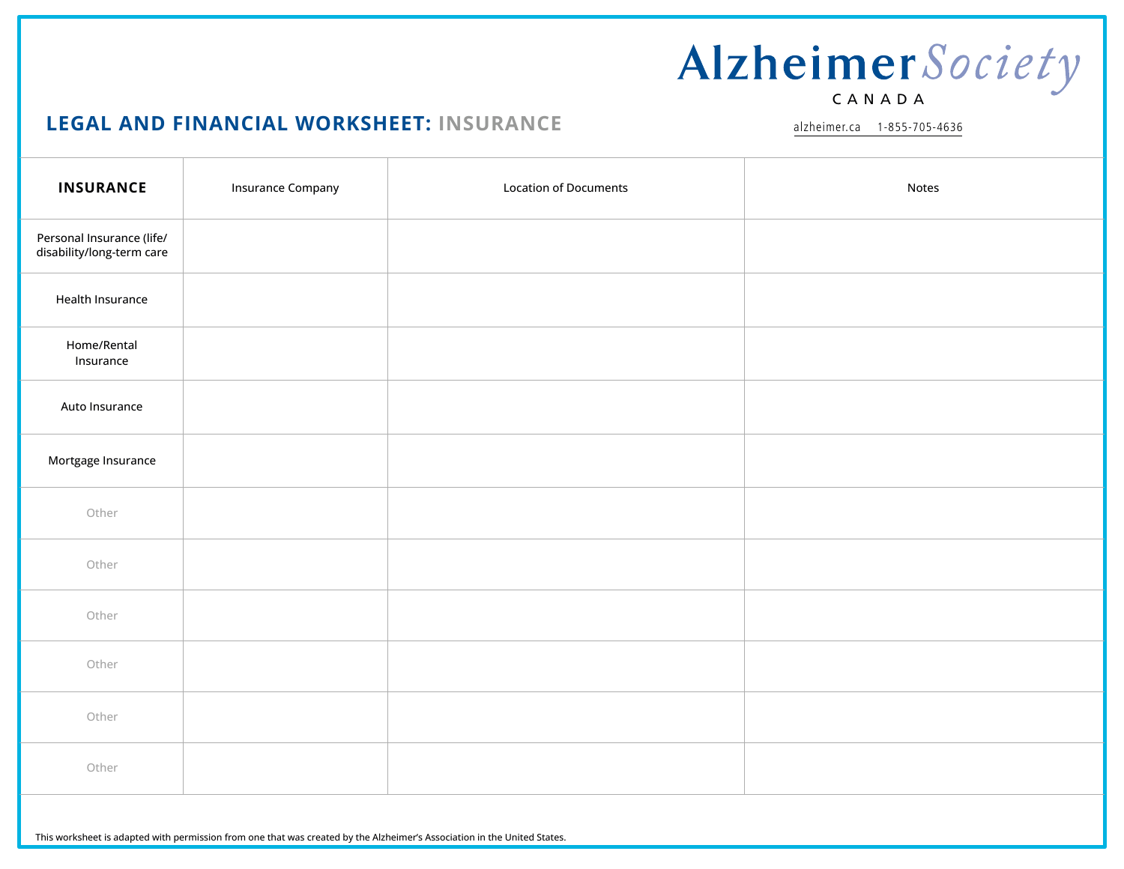### **LEGAL AND FINANCIAL WORKSHEET: INSURANCE**

| <b>INSURANCE</b>                                       | <b>Insurance Company</b> | <b>Location of Documents</b> | Notes |
|--------------------------------------------------------|--------------------------|------------------------------|-------|
| Personal Insurance (life/<br>disability/long-term care |                          |                              |       |
| Health Insurance                                       |                          |                              |       |
| Home/Rental<br>Insurance                               |                          |                              |       |
| Auto Insurance                                         |                          |                              |       |
| Mortgage Insurance                                     |                          |                              |       |
| Other                                                  |                          |                              |       |
| Other                                                  |                          |                              |       |
| Other                                                  |                          |                              |       |
| Other                                                  |                          |                              |       |
| Other                                                  |                          |                              |       |
| Other                                                  |                          |                              |       |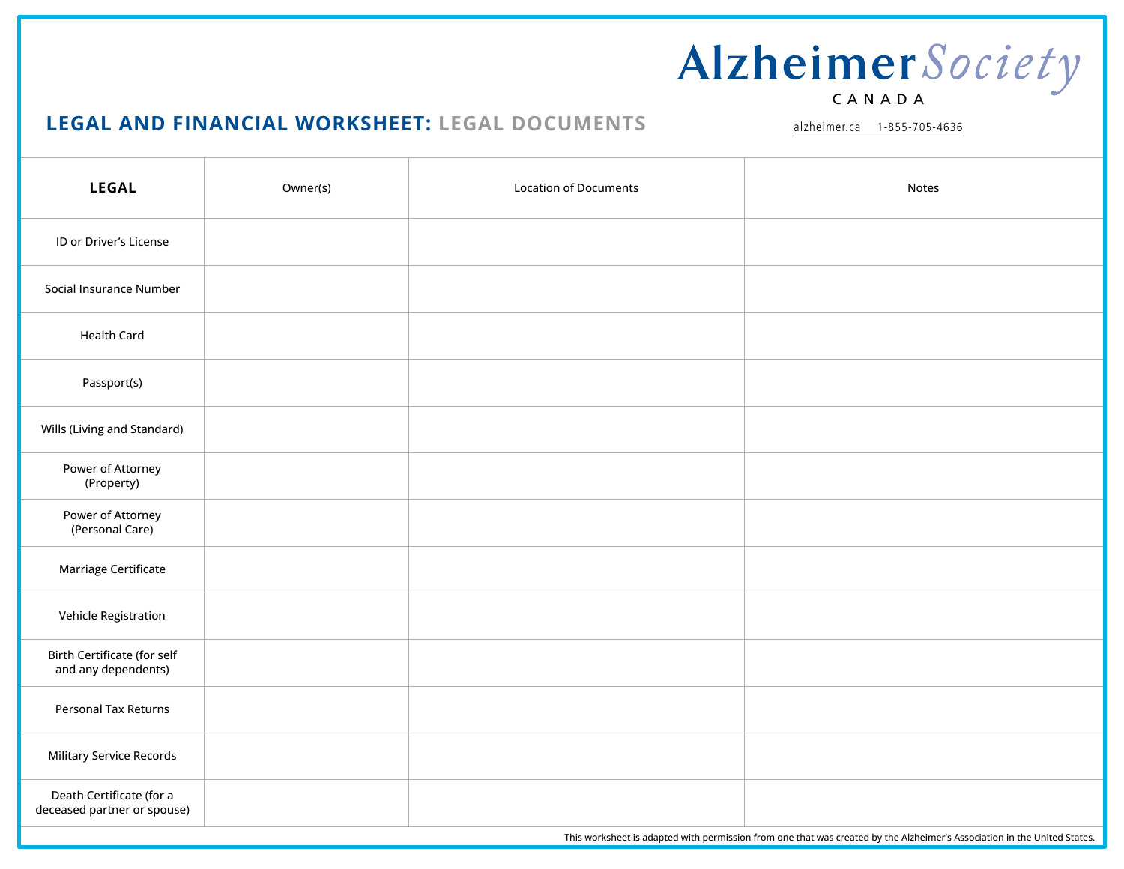#### **LEGAL AND FINANCIAL WORKSHEET: LEGAL DOCUMENTS**

alzheimer.ca 1-855-705-4636

| <b>LEGAL</b>                                            | Owner(s) | <b>Location of Documents</b> | <b>Notes</b> |
|---------------------------------------------------------|----------|------------------------------|--------------|
| ID or Driver's License                                  |          |                              |              |
| Social Insurance Number                                 |          |                              |              |
| <b>Health Card</b>                                      |          |                              |              |
| Passport(s)                                             |          |                              |              |
| Wills (Living and Standard)                             |          |                              |              |
| Power of Attorney<br>(Property)                         |          |                              |              |
| Power of Attorney<br>(Personal Care)                    |          |                              |              |
| Marriage Certificate                                    |          |                              |              |
| Vehicle Registration                                    |          |                              |              |
| Birth Certificate (for self<br>and any dependents)      |          |                              |              |
| <b>Personal Tax Returns</b>                             |          |                              |              |
| <b>Military Service Records</b>                         |          |                              |              |
| Death Certificate (for a<br>deceased partner or spouse) |          |                              |              |

This worksheet is adapted with permission from one that was created by the Alzheimer's Association in the United States.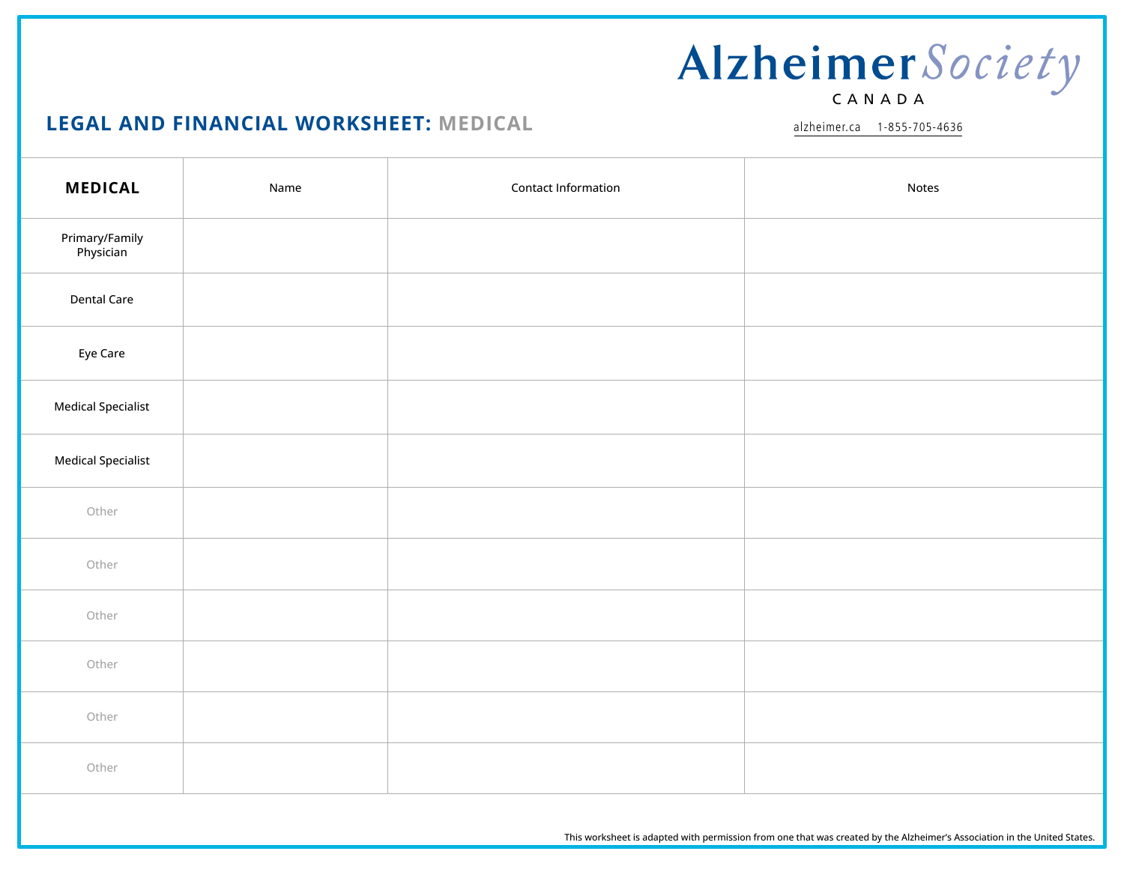### **LEGAL AND FINANCIAL WORKSHEET: MEDICAL**

alzheimer.ca 1-855-705-4636

| <b>MEDICAL</b>              | Name | Contact Information | Notes |
|-----------------------------|------|---------------------|-------|
| Primary/Family<br>Physician |      |                     |       |
| <b>Dental Care</b>          |      |                     |       |
| Eye Care                    |      |                     |       |
| <b>Medical Specialist</b>   |      |                     |       |
| <b>Medical Specialist</b>   |      |                     |       |
| Other                       |      |                     |       |
| Other                       |      |                     |       |
| Other                       |      |                     |       |
| Other                       |      |                     |       |
| Other                       |      |                     |       |
| Other                       |      |                     |       |

This worksheet is adapted with permission from one that was created by the Alzheimer's Association in the United States.